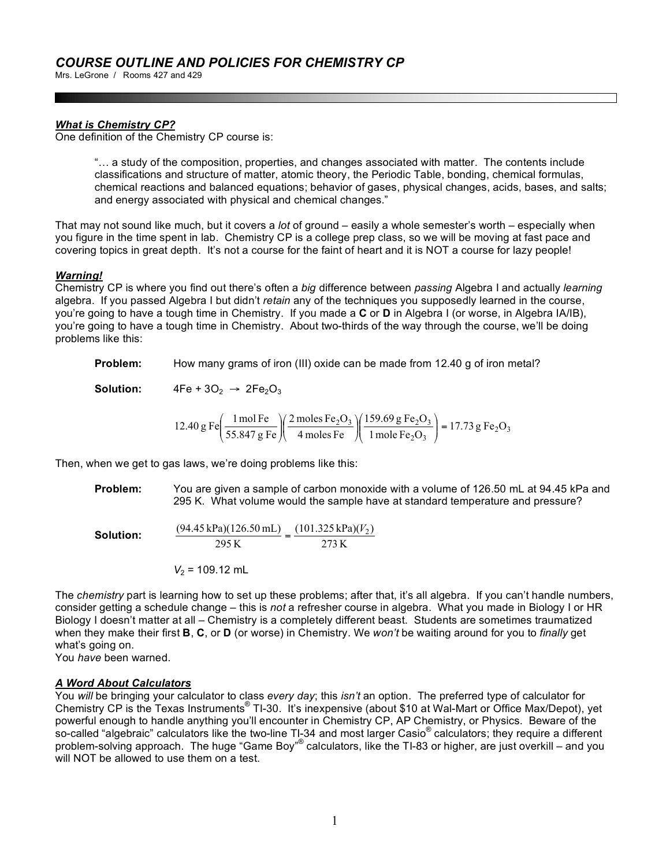Mrs. LeGrone / Rooms 427 and 429

## *What is Chemistry CP?*

One definition of the Chemistry CP course is:

"… a study of the composition, properties, and changes associated with matter. The contents include classifications and structure of matter, atomic theory, the Periodic Table, bonding, chemical formulas, chemical reactions and balanced equations; behavior of gases, physical changes, acids, bases, and salts; and energy associated with physical and chemical changes."

That may not sound like much, but it covers a *lot* of ground – easily a whole semester's worth – especially when you figure in the time spent in lab. Chemistry CP is a college prep class, so we will be moving at fast pace and covering topics in great depth. It's not a course for the faint of heart and it is NOT a course for lazy people!

#### *Warning!*

Chemistry CP is where you find out there's often a *big* difference between *passing* Algebra I and actually *learning* algebra. If you passed Algebra I but didn't *retain* any of the techniques you supposedly learned in the course, you're going to have a tough time in Chemistry. If you made a **C** or **D** in Algebra I (or worse, in Algebra IA/IB), you're going to have a tough time in Chemistry. About two-thirds of the way through the course, we'll be doing problems like this:

**Problem:** How many grams of iron (III) oxide can be made from 12.40 g of iron metal?

**Solution:**  $4Fe + 3O<sub>2</sub> \rightarrow 2Fe<sub>2</sub>O<sub>3</sub>$ 

12.40 g Fe
$$
\left(\frac{1 \text{ mol Fe}}{55.847 \text{ g Fe}}\right) \left(\frac{2 \text{ moles Fe}_2\text{O}_3}{4 \text{ moles Fe}}\right) \left(\frac{159.69 \text{ g Fe}_2\text{O}_3}{1 \text{ mole Fe}_2\text{O}_3}\right) = 17.73 \text{ g Fe}_2\text{O}_3
$$

Then, when we get to gas laws, we're doing problems like this:

**Problem:** You are given a sample of carbon monoxide with a volume of 126.50 mL at 94.45 kPa and 295 K. What volume would the sample have at standard temperature and pressure?

**Solution:** 273 K  $\frac{(94.45 \text{ kPa})(126.50 \text{ mL})}{205 \text{ K}} = \frac{(101.325 \text{ kPa})(V_2)}{272 \text{ K}}$ 295 K

$$
V_2 = 109.12
$$
 mL

The *chemistry* part is learning how to set up these problems; after that, it's all algebra. If you can't handle numbers, consider getting a schedule change – this is *not* a refresher course in algebra. What you made in Biology I or HR Biology I doesn't matter at all – Chemistry is a completely different beast. Students are sometimes traumatized when they make their first **B**, **C**, or **D** (or worse) in Chemistry. We *won't* be waiting around for you to *finally* get what's going on.

You *have* been warned.

#### *A Word About Calculators*

You *will* be bringing your calculator to class *every day*; this *isn't* an option. The preferred type of calculator for Chemistry CP is the Texas Instruments<sup>®</sup> TI-30. It's inexpensive (about \$10 at Wal-Mart or Office Max/Depot), yet powerful enough to handle anything you'll encounter in Chemistry CP, AP Chemistry, or Physics. Beware of the so-called "algebraic" calculators like the two-line TI-34 and most larger Casio® calculators; they require a different problem-solving approach. The huge "Game Boy"<sup>®</sup> calculators, like the TI-83 or higher, are just overkill – and you will NOT be allowed to use them on a test.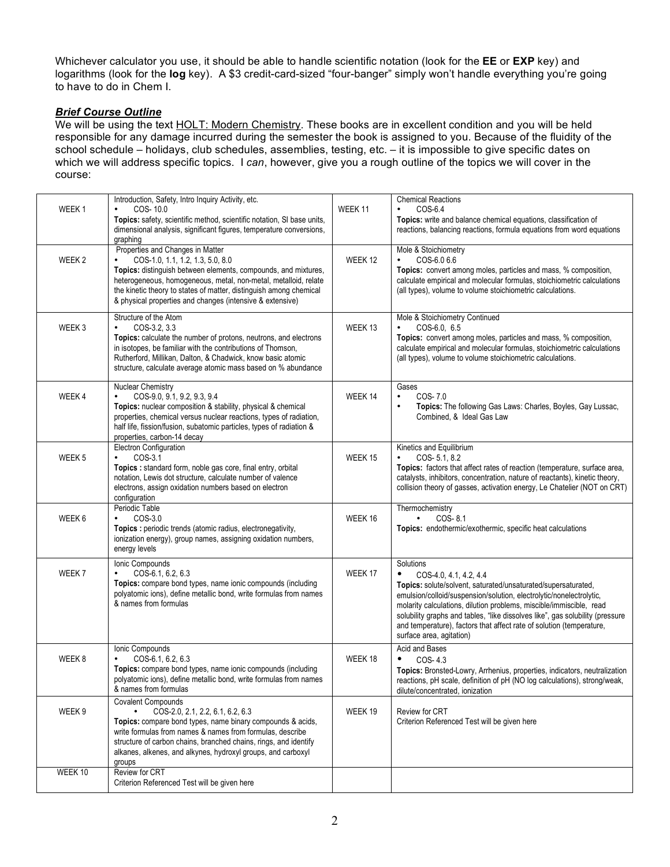Whichever calculator you use, it should be able to handle scientific notation (look for the **EE** or **EXP** key) and logarithms (look for the **log** key). A \$3 credit-card-sized "four-banger" simply won't handle everything you're going to have to do in Chem I.

## *Brief Course Outline*

We will be using the text HOLT: Modern Chemistry. These books are in excellent condition and you will be held responsible for any damage incurred during the semester the book is assigned to you. Because of the fluidity of the school schedule – holidays, club schedules, assemblies, testing, etc. – it is impossible to give specific dates on which we will address specific topics. I *can*, however, give you a rough outline of the topics we will cover in the course:

| WEEK <sub>1</sub> | Introduction, Safety, Intro Inquiry Activity, etc.<br>COS-10.0<br>Topics: safety, scientific method, scientific notation, SI base units,<br>dimensional analysis, significant figures, temperature conversions,<br>graphing                                                                                                                  | WEEK 11 | <b>Chemical Reactions</b><br>COS-6.4<br>Topics: write and balance chemical equations, classification of<br>reactions, balancing reactions, formula equations from word equations                                                                                                                                                                                                                                                             |
|-------------------|----------------------------------------------------------------------------------------------------------------------------------------------------------------------------------------------------------------------------------------------------------------------------------------------------------------------------------------------|---------|----------------------------------------------------------------------------------------------------------------------------------------------------------------------------------------------------------------------------------------------------------------------------------------------------------------------------------------------------------------------------------------------------------------------------------------------|
| WEEK 2            | Properties and Changes in Matter<br>COS-1.0, 1.1, 1.2, 1.3, 5.0, 8.0<br>Topics: distinguish between elements, compounds, and mixtures,<br>heterogeneous, homogeneous, metal, non-metal, metalloid, relate<br>the kinetic theory to states of matter, distinguish among chemical<br>& physical properties and changes (intensive & extensive) | WEEK 12 | Mole & Stoichiometry<br>COS-6.0 6.6<br>$\bullet$<br>Topics: convert among moles, particles and mass, % composition,<br>calculate empirical and molecular formulas, stoichiometric calculations<br>(all types), volume to volume stoichiometric calculations.                                                                                                                                                                                 |
| WEEK 3            | Structure of the Atom<br>COS-3.2, 3.3<br>Topics: calculate the number of protons, neutrons, and electrons<br>in isotopes, be familiar with the contributions of Thomson,<br>Rutherford, Millikan, Dalton, & Chadwick, know basic atomic<br>structure, calculate average atomic mass based on % abundance                                     | WEEK 13 | Mole & Stoichiometry Continued<br>COS-6.0, 6.5<br>Topics: convert among moles, particles and mass, % composition,<br>calculate empirical and molecular formulas, stoichiometric calculations<br>(all types), volume to volume stoichiometric calculations.                                                                                                                                                                                   |
| WEEK4             | Nuclear Chemistry<br>COS-9.0, 9.1, 9.2, 9.3, 9.4<br>Topics: nuclear composition & stability, physical & chemical<br>properties, chemical versus nuclear reactions, types of radiation,<br>half life, fission/fusion, subatomic particles, types of radiation &<br>properties, carbon-14 decay                                                | WEEK 14 | Gases<br>COS-7.0<br>$\bullet$<br>Topics: The following Gas Laws: Charles, Boyles, Gay Lussac,<br>$\bullet$<br>Combined, & Ideal Gas Law                                                                                                                                                                                                                                                                                                      |
| WEEK 5            | Electron Configuration<br>$COS-3.1$<br>$\bullet$<br>Topics : standard form, noble gas core, final entry, orbital<br>notation, Lewis dot structure, calculate number of valence<br>electrons, assign oxidation numbers based on electron<br>configuration                                                                                     | WEEK 15 | Kinetics and Equilibrium<br>COS-5.1, 8.2<br>$\bullet$<br>Topics: factors that affect rates of reaction (temperature, surface area,<br>catalysts, inhibitors, concentration, nature of reactants), kinetic theory,<br>collision theory of gasses, activation energy, Le Chatelier (NOT on CRT)                                                                                                                                                |
| WEEK 6            | Periodic Table<br>COS-3.0<br>Topics: periodic trends (atomic radius, electronegativity,<br>ionization energy), group names, assigning oxidation numbers,<br>energy levels                                                                                                                                                                    | WEEK 16 | Thermochemistry<br>$COS-8.1$<br>٠<br>Topics: endothermic/exothermic, specific heat calculations                                                                                                                                                                                                                                                                                                                                              |
| WEEK 7            | Ionic Compounds<br>COS-6.1, 6.2, 6.3<br>Topics: compare bond types, name ionic compounds (including<br>polyatomic ions), define metallic bond, write formulas from names<br>& names from formulas                                                                                                                                            | WEEK 17 | Solutions<br>٠<br>COS-4.0, 4.1, 4.2, 4.4<br>Topics: solute/solvent, saturated/unsaturated/supersaturated,<br>emulsion/colloid/suspension/solution, electrolytic/nonelectrolytic,<br>molarity calculations, dilution problems, miscible/immiscible, read<br>solubility graphs and tables, "like dissolves like", gas solubility (pressure<br>and temperature), factors that affect rate of solution (temperature,<br>surface area, agitation) |
| WEEK 8            | Ionic Compounds<br>COS-6.1, 6.2, 6.3<br>Topics: compare bond types, name ionic compounds (including<br>polyatomic ions), define metallic bond, write formulas from names<br>& names from formulas                                                                                                                                            | WEEK 18 | Acid and Bases<br>COS-4.3<br>Topics: Bronsted-Lowry, Arrhenius, properties, indicators, neutralization<br>reactions, pH scale, definition of pH (NO log calculations), strong/weak,<br>dilute/concentrated, ionization                                                                                                                                                                                                                       |
| WEEK 9            | <b>Covalent Compounds</b><br>COS-2.0, 2.1, 2.2, 6.1, 6.2, 6.3<br>Topics: compare bond types, name binary compounds & acids,<br>write formulas from names & names from formulas, describe<br>structure of carbon chains, branched chains, rings, and identify<br>alkanes, alkenes, and alkynes, hydroxyl groups, and carboxyl<br>groups       | WEEK 19 | <b>Review for CRT</b><br>Criterion Referenced Test will be given here                                                                                                                                                                                                                                                                                                                                                                        |
| WEEK 10           | Review for CRT<br>Criterion Referenced Test will be given here                                                                                                                                                                                                                                                                               |         |                                                                                                                                                                                                                                                                                                                                                                                                                                              |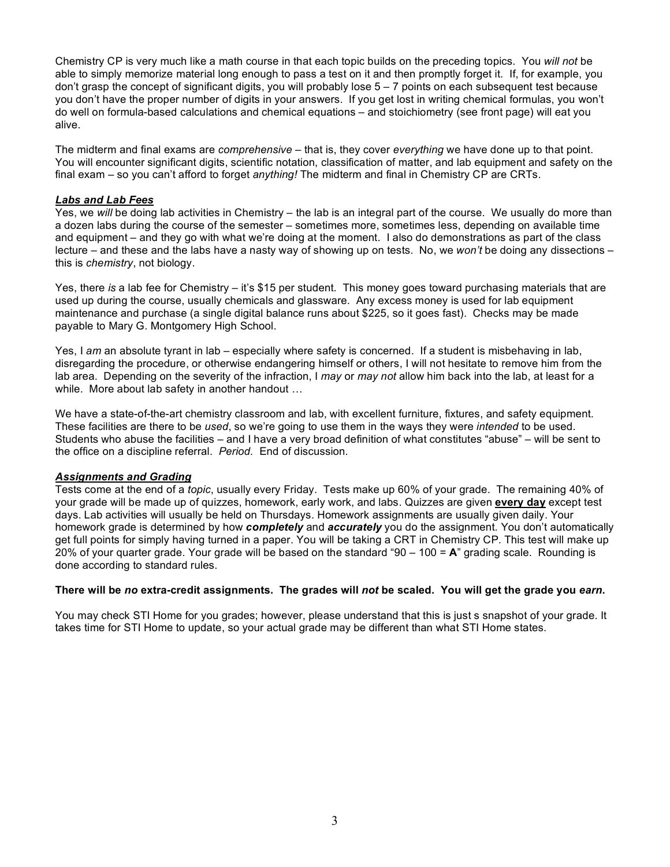Chemistry CP is very much like a math course in that each topic builds on the preceding topics. You *will not* be able to simply memorize material long enough to pass a test on it and then promptly forget it. If, for example, you don't grasp the concept of significant digits, you will probably lose  $5 - 7$  points on each subsequent test because you don't have the proper number of digits in your answers. If you get lost in writing chemical formulas, you won't do well on formula-based calculations and chemical equations – and stoichiometry (see front page) will eat you alive.

The midterm and final exams are *comprehensive* – that is, they cover *everything* we have done up to that point. You will encounter significant digits, scientific notation, classification of matter, and lab equipment and safety on the final exam – so you can't afford to forget *anything!* The midterm and final in Chemistry CP are CRTs.

## *Labs and Lab Fees*

Yes, we *will* be doing lab activities in Chemistry – the lab is an integral part of the course. We usually do more than a dozen labs during the course of the semester – sometimes more, sometimes less, depending on available time and equipment – and they go with what we're doing at the moment. I also do demonstrations as part of the class lecture – and these and the labs have a nasty way of showing up on tests. No, we *won't* be doing any dissections – this is *chemistry*, not biology.

Yes, there *is* a lab fee for Chemistry – it's \$15 per student. This money goes toward purchasing materials that are used up during the course, usually chemicals and glassware. Any excess money is used for lab equipment maintenance and purchase (a single digital balance runs about \$225, so it goes fast). Checks may be made payable to Mary G. Montgomery High School.

Yes, I *am* an absolute tyrant in lab – especially where safety is concerned. If a student is misbehaving in lab, disregarding the procedure, or otherwise endangering himself or others, I will not hesitate to remove him from the lab area. Depending on the severity of the infraction, I *may* or *may not* allow him back into the lab, at least for a while. More about lab safety in another handout …

We have a state-of-the-art chemistry classroom and lab, with excellent furniture, fixtures, and safety equipment. These facilities are there to be *used*, so we're going to use them in the ways they were *intended* to be used. Students who abuse the facilities – and I have a very broad definition of what constitutes "abuse" – will be sent to the office on a discipline referral. *Period.* End of discussion.

#### *Assignments and Grading*

Tests come at the end of a *topic*, usually every Friday. Tests make up 60% of your grade. The remaining 40% of your grade will be made up of quizzes, homework, early work, and labs. Quizzes are given **every day** except test days. Lab activities will usually be held on Thursdays. Homework assignments are usually given daily. Your homework grade is determined by how *completely* and *accurately* you do the assignment. You don't automatically get full points for simply having turned in a paper. You will be taking a CRT in Chemistry CP. This test will make up 20% of your quarter grade. Your grade will be based on the standard "90 – 100 = **A**" grading scale. Rounding is done according to standard rules.

# **There will be** *no* **extra-credit assignments. The grades will** *not* **be scaled. You will get the grade you** *earn***.**

You may check STI Home for you grades; however, please understand that this is just s snapshot of your grade. It takes time for STI Home to update, so your actual grade may be different than what STI Home states.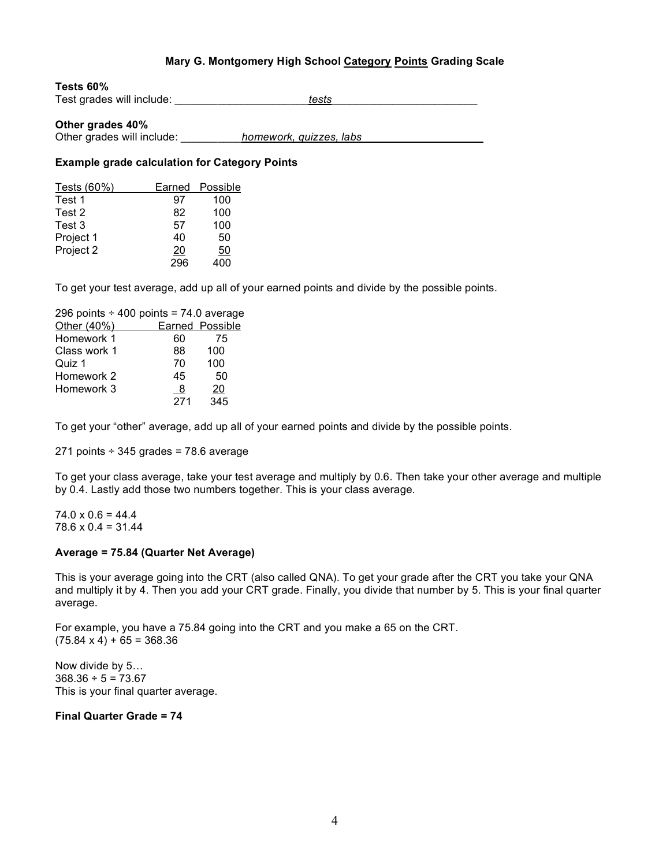# **Mary G. Montgomery High School Category Points Grading Scale**

#### **Tests 60%**

Test grades will include: **Test** grades will include:

#### **Other grades 40%**

Other grades will include: **homework, quizzes, labs** 

## **Example grade calculation for Category Points**

| Tests (60%) | Earned          | Possible |
|-------------|-----------------|----------|
| Test 1      | 97              | 100      |
| Test 2      | 82              | 100      |
| Test 3      | 57              | 100      |
| Project 1   | 40              | 50       |
| Project 2   | $\overline{20}$ | 50       |
|             | 296             | nn       |

To get your test average, add up all of your earned points and divide by the possible points.

| 296 points $\div$ 400 points = 74.0 average |     |                  |
|---------------------------------------------|-----|------------------|
| Other (40%)                                 |     | Earned Possible  |
| Homework 1                                  | 60  | 75               |
| Class work 1                                | 88  | 100              |
| Quiz 1                                      | 70  | 100              |
| Homework 2                                  | 45  | 50               |
| Homework 3                                  | 8   | 20               |
|                                             | 271 | $\overline{345}$ |

To get your "other" average, add up all of your earned points and divide by the possible points.

271 points  $\div$  345 grades = 78.6 average

To get your class average, take your test average and multiply by 0.6. Then take your other average and multiple by 0.4. Lastly add those two numbers together. This is your class average.

 $74.0 \times 0.6 = 44.4$  $78.6 \times 0.4 = 31.44$ 

#### **Average = 75.84 (Quarter Net Average)**

This is your average going into the CRT (also called QNA). To get your grade after the CRT you take your QNA and multiply it by 4. Then you add your CRT grade. Finally, you divide that number by 5. This is your final quarter average.

For example, you have a 75.84 going into the CRT and you make a 65 on the CRT.  $(75.84 \times 4) + 65 = 368.36$ 

Now divide by 5…  $368.36 \div 5 = 73.67$ This is your final quarter average.

### **Final Quarter Grade = 74**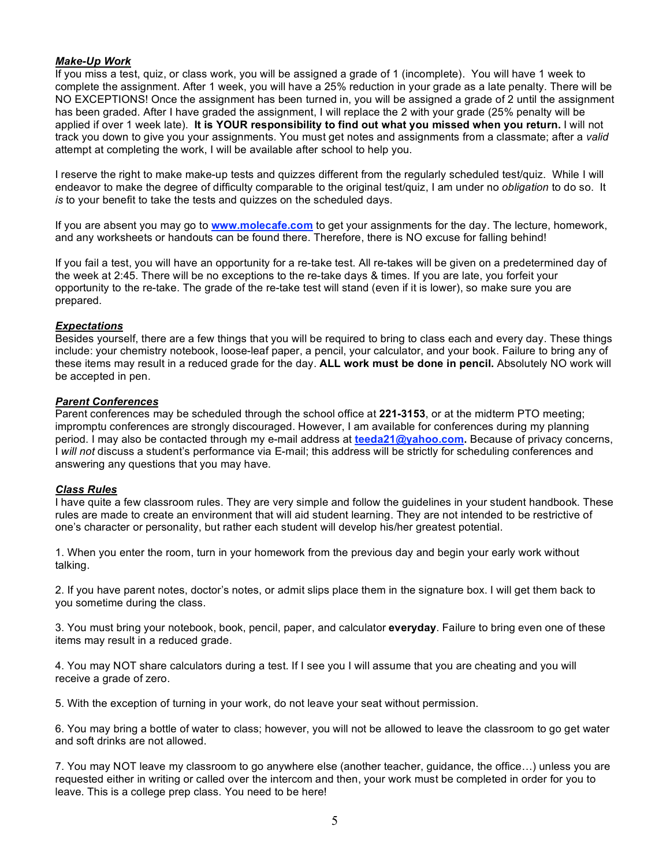## *Make-Up Work*

If you miss a test, quiz, or class work, you will be assigned a grade of 1 (incomplete). You will have 1 week to complete the assignment. After 1 week, you will have a 25% reduction in your grade as a late penalty. There will be NO EXCEPTIONS! Once the assignment has been turned in, you will be assigned a grade of 2 until the assignment has been graded. After I have graded the assignment, I will replace the 2 with your grade (25% penalty will be applied if over 1 week late). **It is YOUR responsibility to find out what you missed when you return.** I will not track you down to give you your assignments. You must get notes and assignments from a classmate; after a *valid* attempt at completing the work, I will be available after school to help you.

I reserve the right to make make-up tests and quizzes different from the regularly scheduled test/quiz. While I will endeavor to make the degree of difficulty comparable to the original test/quiz, I am under no *obligation* to do so. It *is* to your benefit to take the tests and quizzes on the scheduled days.

If you are absent you may go to **www.molecafe.com** to get your assignments for the day. The lecture, homework, and any worksheets or handouts can be found there. Therefore, there is NO excuse for falling behind!

If you fail a test, you will have an opportunity for a re-take test. All re-takes will be given on a predetermined day of the week at 2:45. There will be no exceptions to the re-take days & times. If you are late, you forfeit your opportunity to the re-take. The grade of the re-take test will stand (even if it is lower), so make sure you are prepared.

#### *Expectations*

Besides yourself, there are a few things that you will be required to bring to class each and every day. These things include: your chemistry notebook, loose-leaf paper, a pencil, your calculator, and your book. Failure to bring any of these items may result in a reduced grade for the day. **ALL work must be done in pencil.** Absolutely NO work will be accepted in pen.

#### *Parent Conferences*

Parent conferences may be scheduled through the school office at **221-3153**, or at the midterm PTO meeting; impromptu conferences are strongly discouraged. However, I am available for conferences during my planning period. I may also be contacted through my e-mail address at **teeda21@yahoo.com.** Because of privacy concerns, I *will not* discuss a student's performance via E-mail; this address will be strictly for scheduling conferences and answering any questions that you may have.

#### *Class Rules*

I have quite a few classroom rules. They are very simple and follow the guidelines in your student handbook. These rules are made to create an environment that will aid student learning. They are not intended to be restrictive of one's character or personality, but rather each student will develop his/her greatest potential.

1. When you enter the room, turn in your homework from the previous day and begin your early work without talking.

2. If you have parent notes, doctor's notes, or admit slips place them in the signature box. I will get them back to you sometime during the class.

3. You must bring your notebook, book, pencil, paper, and calculator **everyday**. Failure to bring even one of these items may result in a reduced grade.

4. You may NOT share calculators during a test. If I see you I will assume that you are cheating and you will receive a grade of zero.

5. With the exception of turning in your work, do not leave your seat without permission.

6. You may bring a bottle of water to class; however, you will not be allowed to leave the classroom to go get water and soft drinks are not allowed.

7. You may NOT leave my classroom to go anywhere else (another teacher, guidance, the office…) unless you are requested either in writing or called over the intercom and then, your work must be completed in order for you to leave. This is a college prep class. You need to be here!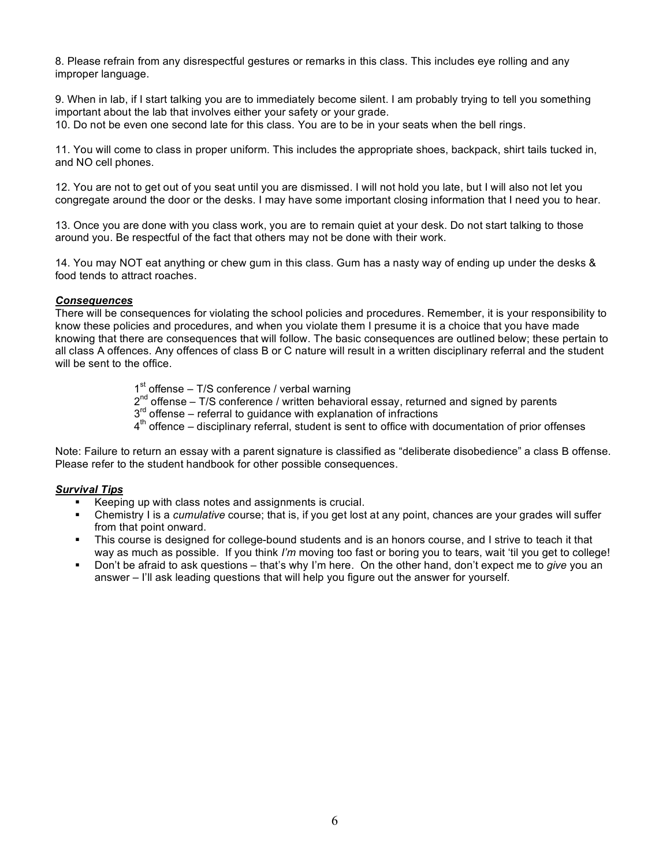8. Please refrain from any disrespectful gestures or remarks in this class. This includes eye rolling and any improper language.

9. When in lab, if I start talking you are to immediately become silent. I am probably trying to tell you something important about the lab that involves either your safety or your grade. 10. Do not be even one second late for this class. You are to be in your seats when the bell rings.

11. You will come to class in proper uniform. This includes the appropriate shoes, backpack, shirt tails tucked in, and NO cell phones.

12. You are not to get out of you seat until you are dismissed. I will not hold you late, but I will also not let you congregate around the door or the desks. I may have some important closing information that I need you to hear.

13. Once you are done with you class work, you are to remain quiet at your desk. Do not start talking to those around you. Be respectful of the fact that others may not be done with their work.

14. You may NOT eat anything or chew gum in this class. Gum has a nasty way of ending up under the desks & food tends to attract roaches.

#### *Consequences*

There will be consequences for violating the school policies and procedures. Remember, it is your responsibility to know these policies and procedures, and when you violate them I presume it is a choice that you have made knowing that there are consequences that will follow. The basic consequences are outlined below; these pertain to all class A offences. Any offences of class B or C nature will result in a written disciplinary referral and the student will be sent to the office.

- $1<sup>st</sup>$  offense T/S conference / verbal warning
- $2^{nd}$  offense T/S conference / written behavioral essay, returned and signed by parents
- $3<sup>rd</sup>$  offense referral to guidance with explanation of infractions
- $4<sup>th</sup>$  offence disciplinary referral, student is sent to office with documentation of prior offenses

Note: Failure to return an essay with a parent signature is classified as "deliberate disobedience" a class B offense. Please refer to the student handbook for other possible consequences.

#### *Survival Tips*

- Keeping up with class notes and assignments is crucial.
- Chemistry I is a *cumulative* course; that is, if you get lost at any point, chances are your grades will suffer from that point onward.
- This course is designed for college-bound students and is an honors course, and I strive to teach it that way as much as possible. If you think *I'm* moving too fast or boring you to tears, wait 'til you get to college!
- Don't be afraid to ask questions that's why I'm here. On the other hand, don't expect me to *give* you an answer – I'll ask leading questions that will help you figure out the answer for yourself.